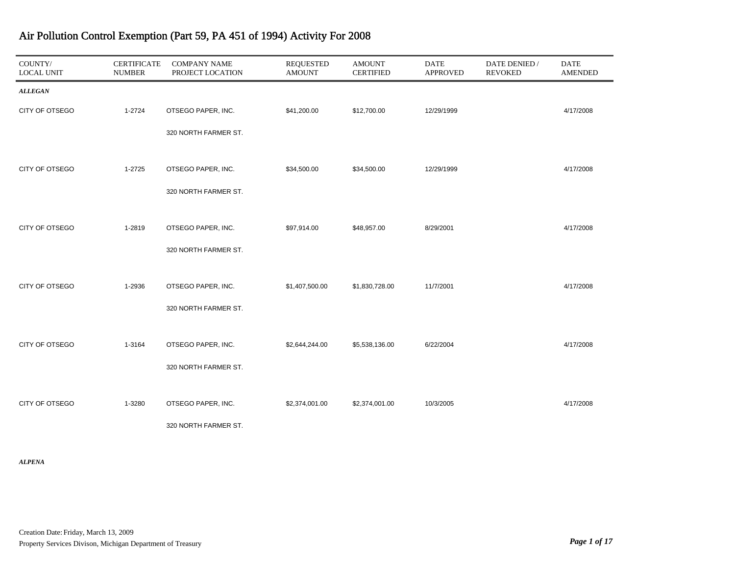| COUNTY/<br><b>LOCAL UNIT</b> | <b>CERTIFICATE</b><br><b>NUMBER</b> | <b>COMPANY NAME</b><br>PROJECT LOCATION | <b>REQUESTED</b><br><b>AMOUNT</b> | <b>AMOUNT</b><br><b>CERTIFIED</b> | <b>DATE</b><br><b>APPROVED</b> | DATE DENIED /<br><b>REVOKED</b> | <b>DATE</b><br><b>AMENDED</b> |
|------------------------------|-------------------------------------|-----------------------------------------|-----------------------------------|-----------------------------------|--------------------------------|---------------------------------|-------------------------------|
| <b>ALLEGAN</b>               |                                     |                                         |                                   |                                   |                                |                                 |                               |
| CITY OF OTSEGO               | 1-2724                              | OTSEGO PAPER, INC.                      | \$41,200.00                       | \$12,700.00                       | 12/29/1999                     |                                 | 4/17/2008                     |
|                              |                                     | 320 NORTH FARMER ST.                    |                                   |                                   |                                |                                 |                               |
|                              |                                     |                                         |                                   |                                   |                                |                                 |                               |
| CITY OF OTSEGO               | 1-2725                              | OTSEGO PAPER, INC.                      | \$34,500.00                       | \$34,500.00                       | 12/29/1999                     |                                 | 4/17/2008                     |
|                              |                                     | 320 NORTH FARMER ST.                    |                                   |                                   |                                |                                 |                               |
|                              |                                     |                                         |                                   |                                   |                                |                                 |                               |
| CITY OF OTSEGO               | 1-2819                              | OTSEGO PAPER, INC.                      | \$97,914.00                       | \$48,957.00                       | 8/29/2001                      |                                 | 4/17/2008                     |
|                              |                                     | 320 NORTH FARMER ST.                    |                                   |                                   |                                |                                 |                               |
| CITY OF OTSEGO               | 1-2936                              | OTSEGO PAPER, INC.                      | \$1,407,500.00                    | \$1,830,728.00                    | 11/7/2001                      |                                 | 4/17/2008                     |
|                              |                                     |                                         |                                   |                                   |                                |                                 |                               |
|                              |                                     | 320 NORTH FARMER ST.                    |                                   |                                   |                                |                                 |                               |
| CITY OF OTSEGO               | 1-3164                              | OTSEGO PAPER, INC.                      | \$2,644,244.00                    | \$5,538,136.00                    | 6/22/2004                      |                                 | 4/17/2008                     |
|                              |                                     | 320 NORTH FARMER ST.                    |                                   |                                   |                                |                                 |                               |
|                              |                                     |                                         |                                   |                                   |                                |                                 |                               |
| CITY OF OTSEGO               | 1-3280                              | OTSEGO PAPER, INC.                      | \$2,374,001.00                    | \$2,374,001.00                    | 10/3/2005                      |                                 | 4/17/2008                     |
|                              |                                     | 320 NORTH FARMER ST.                    |                                   |                                   |                                |                                 |                               |

*ALPENA*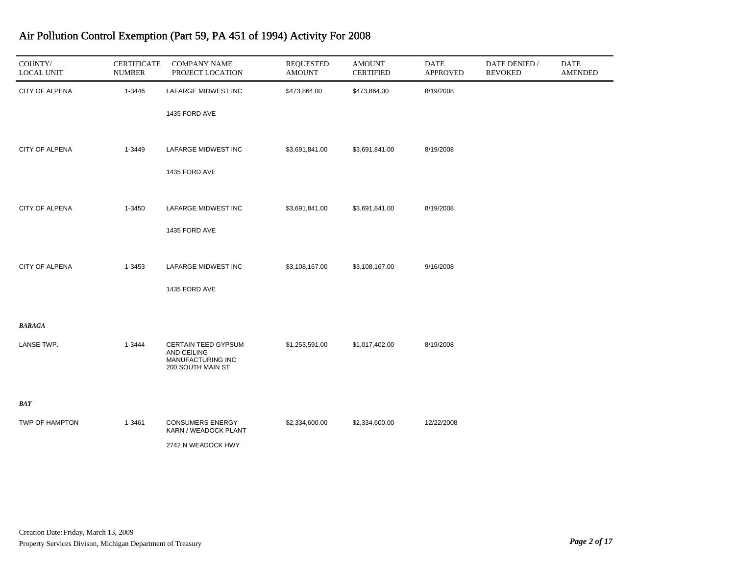| COUNTY/<br><b>LOCAL UNIT</b> | <b>CERTIFICATE</b><br><b>NUMBER</b> | <b>COMPANY NAME</b><br>PROJECT LOCATION                                      | <b>REQUESTED</b><br><b>AMOUNT</b> | <b>AMOUNT</b><br><b>CERTIFIED</b> | <b>DATE</b><br><b>APPROVED</b> | DATE DENIED /<br><b>REVOKED</b> | <b>DATE</b><br><b>AMENDED</b> |
|------------------------------|-------------------------------------|------------------------------------------------------------------------------|-----------------------------------|-----------------------------------|--------------------------------|---------------------------------|-------------------------------|
| <b>CITY OF ALPENA</b>        | 1-3446                              | LAFARGE MIDWEST INC                                                          | \$473,864.00                      | \$473,864.00                      | 8/19/2008                      |                                 |                               |
|                              |                                     | 1435 FORD AVE                                                                |                                   |                                   |                                |                                 |                               |
| <b>CITY OF ALPENA</b>        | 1-3449                              | LAFARGE MIDWEST INC                                                          | \$3,691,841.00                    | \$3,691,841.00                    | 8/19/2008                      |                                 |                               |
|                              |                                     | 1435 FORD AVE                                                                |                                   |                                   |                                |                                 |                               |
| CITY OF ALPENA               | 1-3450                              | LAFARGE MIDWEST INC                                                          | \$3,691,841.00                    | \$3,691,841.00                    | 8/19/2008                      |                                 |                               |
|                              |                                     | 1435 FORD AVE                                                                |                                   |                                   |                                |                                 |                               |
| <b>CITY OF ALPENA</b>        | 1-3453                              | LAFARGE MIDWEST INC                                                          | \$3,108,167.00                    | \$3,108,167.00                    | 9/16/2008                      |                                 |                               |
|                              |                                     | 1435 FORD AVE                                                                |                                   |                                   |                                |                                 |                               |
| <b>BARAGA</b>                |                                     |                                                                              |                                   |                                   |                                |                                 |                               |
| LANSE TWP.                   | 1-3444                              | CERTAIN TEED GYPSUM<br>AND CEILING<br>MANUFACTURING INC<br>200 SOUTH MAIN ST | \$1,253,591.00                    | \$1,017,402.00                    | 8/19/2008                      |                                 |                               |
| <b>BAY</b>                   |                                     |                                                                              |                                   |                                   |                                |                                 |                               |
| TWP OF HAMPTON               | 1-3461                              | <b>CONSUMERS ENERGY</b><br>KARN / WEADOCK PLANT                              | \$2,334,600.00                    | \$2,334,600.00                    | 12/22/2008                     |                                 |                               |
|                              |                                     | 2742 N WEADOCK HWY                                                           |                                   |                                   |                                |                                 |                               |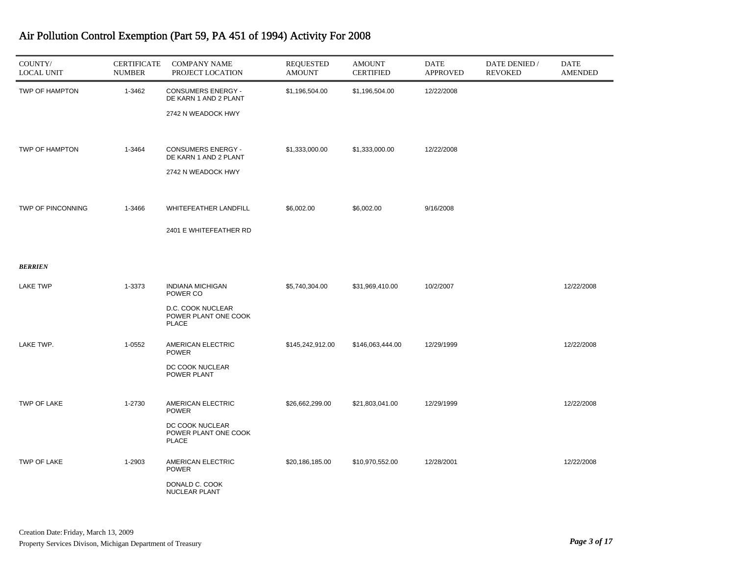| COUNTY/<br><b>LOCAL UNIT</b> | <b>CERTIFICATE</b><br><b>NUMBER</b> | <b>COMPANY NAME</b><br>PROJECT LOCATION                                  | <b>REQUESTED</b><br><b>AMOUNT</b> | <b>AMOUNT</b><br><b>CERTIFIED</b> | <b>DATE</b><br><b>APPROVED</b> | DATE DENIED /<br><b>REVOKED</b> | <b>DATE</b><br><b>AMENDED</b> |
|------------------------------|-------------------------------------|--------------------------------------------------------------------------|-----------------------------------|-----------------------------------|--------------------------------|---------------------------------|-------------------------------|
| TWP OF HAMPTON               | 1-3462                              | <b>CONSUMERS ENERGY -</b><br>DE KARN 1 AND 2 PLANT<br>2742 N WEADOCK HWY | \$1,196,504.00                    | \$1,196,504.00                    | 12/22/2008                     |                                 |                               |
|                              |                                     |                                                                          |                                   |                                   | 12/22/2008                     |                                 |                               |
| TWP OF HAMPTON               | 1-3464                              | <b>CONSUMERS ENERGY -</b><br>DE KARN 1 AND 2 PLANT<br>2742 N WEADOCK HWY | \$1,333,000.00                    | \$1,333,000.00                    |                                |                                 |                               |
| TWP OF PINCONNING            | 1-3466                              | WHITEFEATHER LANDFILL                                                    | \$6,002.00                        | \$6,002.00                        | 9/16/2008                      |                                 |                               |
|                              |                                     | 2401 E WHITEFEATHER RD                                                   |                                   |                                   |                                |                                 |                               |
| <b>BERRIEN</b>               |                                     |                                                                          |                                   |                                   |                                |                                 |                               |
| <b>LAKE TWP</b>              | 1-3373                              | <b>INDIANA MICHIGAN</b><br>POWER CO<br>D.C. COOK NUCLEAR                 | \$5,740,304.00                    | \$31,969,410.00                   | 10/2/2007                      |                                 | 12/22/2008                    |
|                              |                                     | POWER PLANT ONE COOK<br><b>PLACE</b>                                     |                                   |                                   |                                |                                 |                               |
| LAKE TWP.                    | 1-0552                              | AMERICAN ELECTRIC<br><b>POWER</b><br>DC COOK NUCLEAR                     | \$145,242,912.00                  | \$146,063,444.00                  | 12/29/1999                     |                                 | 12/22/2008                    |
| TWP OF LAKE                  | 1-2730                              | POWER PLANT<br>AMERICAN ELECTRIC                                         | \$26,662,299.00                   | \$21,803,041.00                   | 12/29/1999                     |                                 | 12/22/2008                    |
|                              |                                     | <b>POWER</b><br>DC COOK NUCLEAR<br>POWER PLANT ONE COOK<br><b>PLACE</b>  |                                   |                                   |                                |                                 |                               |
| TWP OF LAKE                  | 1-2903                              | AMERICAN ELECTRIC<br><b>POWER</b>                                        | \$20,186,185.00                   | \$10,970,552.00                   | 12/28/2001                     |                                 | 12/22/2008                    |
|                              |                                     | DONALD C. COOK<br>NUCLEAR PLANT                                          |                                   |                                   |                                |                                 |                               |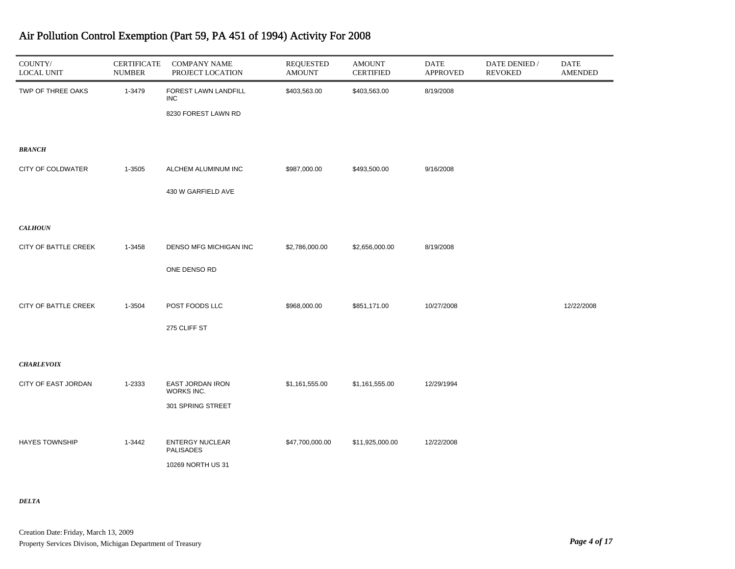| COUNTY/<br><b>LOCAL UNIT</b> | <b>CERTIFICATE</b><br><b>NUMBER</b> | <b>COMPANY NAME</b><br>PROJECT LOCATION                   | <b>REQUESTED</b><br><b>AMOUNT</b> | <b>AMOUNT</b><br><b>CERTIFIED</b> | <b>DATE</b><br><b>APPROVED</b> | DATE DENIED /<br><b>REVOKED</b> | <b>DATE</b><br><b>AMENDED</b> |
|------------------------------|-------------------------------------|-----------------------------------------------------------|-----------------------------------|-----------------------------------|--------------------------------|---------------------------------|-------------------------------|
| TWP OF THREE OAKS            | 1-3479                              | FOREST LAWN LANDFILL<br><b>INC</b><br>8230 FOREST LAWN RD | \$403,563.00                      | \$403,563.00                      | 8/19/2008                      |                                 |                               |
| <b>BRANCH</b>                |                                     |                                                           |                                   |                                   |                                |                                 |                               |
| CITY OF COLDWATER            | 1-3505                              | ALCHEM ALUMINUM INC                                       | \$987,000.00                      | \$493,500.00                      | 9/16/2008                      |                                 |                               |
|                              |                                     | 430 W GARFIELD AVE                                        |                                   |                                   |                                |                                 |                               |
| <b>CALHOUN</b>               |                                     |                                                           |                                   |                                   |                                |                                 |                               |
| CITY OF BATTLE CREEK         | 1-3458                              | DENSO MFG MICHIGAN INC                                    | \$2,786,000.00                    | \$2,656,000.00                    | 8/19/2008                      |                                 |                               |
|                              |                                     | ONE DENSO RD                                              |                                   |                                   |                                |                                 |                               |
| CITY OF BATTLE CREEK         | 1-3504                              | POST FOODS LLC                                            | \$968,000.00                      | \$851,171.00                      | 10/27/2008                     |                                 | 12/22/2008                    |
|                              |                                     | 275 CLIFF ST                                              |                                   |                                   |                                |                                 |                               |
| <b>CHARLEVOIX</b>            |                                     |                                                           |                                   |                                   |                                |                                 |                               |
| CITY OF EAST JORDAN          | 1-2333                              | EAST JORDAN IRON<br>WORKS INC.                            | \$1,161,555.00                    | \$1,161,555.00                    | 12/29/1994                     |                                 |                               |
|                              |                                     | 301 SPRING STREET                                         |                                   |                                   |                                |                                 |                               |
| <b>HAYES TOWNSHIP</b>        | 1-3442                              | <b>ENTERGY NUCLEAR</b><br><b>PALISADES</b>                | \$47,700,000.00                   | \$11,925,000.00                   | 12/22/2008                     |                                 |                               |
|                              |                                     | 10269 NORTH US 31                                         |                                   |                                   |                                |                                 |                               |

*DELTA*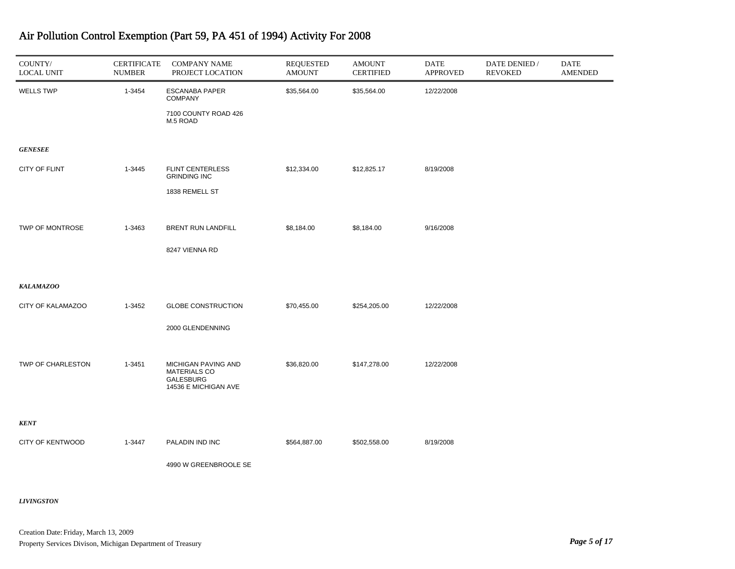| COUNTY/<br><b>LOCAL UNIT</b> | <b>CERTIFICATE</b><br><b>NUMBER</b> | <b>COMPANY NAME</b><br>PROJECT LOCATION                                                | <b>REQUESTED</b><br><b>AMOUNT</b> | <b>AMOUNT</b><br><b>CERTIFIED</b> | DATE<br><b>APPROVED</b> | DATE DENIED /<br><b>REVOKED</b> | DATE<br><b>AMENDED</b> |
|------------------------------|-------------------------------------|----------------------------------------------------------------------------------------|-----------------------------------|-----------------------------------|-------------------------|---------------------------------|------------------------|
| <b>WELLS TWP</b>             | 1-3454                              | <b>ESCANABA PAPER</b><br><b>COMPANY</b>                                                | \$35,564.00                       | \$35,564.00                       | 12/22/2008              |                                 |                        |
|                              |                                     | 7100 COUNTY ROAD 426<br>M.5 ROAD                                                       |                                   |                                   |                         |                                 |                        |
| <b>GENESEE</b>               |                                     |                                                                                        |                                   |                                   |                         |                                 |                        |
| CITY OF FLINT                | 1-3445                              | <b>FLINT CENTERLESS</b><br><b>GRINDING INC</b>                                         | \$12,334.00                       | \$12,825.17                       | 8/19/2008               |                                 |                        |
|                              |                                     | 1838 REMELL ST                                                                         |                                   |                                   |                         |                                 |                        |
| TWP OF MONTROSE              | 1-3463                              | <b>BRENT RUN LANDFILL</b>                                                              | \$8,184.00                        | \$8,184.00                        | 9/16/2008               |                                 |                        |
|                              |                                     | 8247 VIENNA RD                                                                         |                                   |                                   |                         |                                 |                        |
| <b>KALAMAZOO</b>             |                                     |                                                                                        |                                   |                                   |                         |                                 |                        |
| CITY OF KALAMAZOO            | 1-3452                              | <b>GLOBE CONSTRUCTION</b>                                                              | \$70,455.00                       | \$254,205.00                      | 12/22/2008              |                                 |                        |
|                              |                                     | 2000 GLENDENNING                                                                       |                                   |                                   |                         |                                 |                        |
| TWP OF CHARLESTON            | 1-3451                              | MICHIGAN PAVING AND<br><b>MATERIALS CO</b><br><b>GALESBURG</b><br>14536 E MICHIGAN AVE | \$36,820.00                       | \$147,278.00                      | 12/22/2008              |                                 |                        |
| <b>KENT</b>                  |                                     |                                                                                        |                                   |                                   |                         |                                 |                        |
| CITY OF KENTWOOD             | 1-3447                              | PALADIN IND INC                                                                        | \$564,887.00                      | \$502,558.00                      | 8/19/2008               |                                 |                        |
|                              |                                     | 4990 W GREENBROOLE SE                                                                  |                                   |                                   |                         |                                 |                        |

*LIVINGSTON*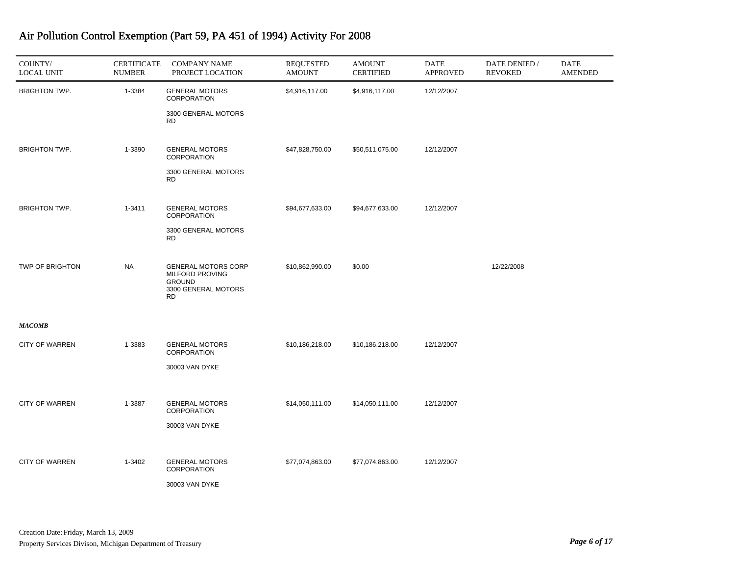| COUNTY/<br><b>LOCAL UNIT</b> | <b>CERTIFICATE</b><br><b>NUMBER</b> | <b>COMPANY NAME</b><br>PROJECT LOCATION                                                            | <b>REQUESTED</b><br><b>AMOUNT</b> | <b>AMOUNT</b><br><b>CERTIFIED</b> | DATE<br><b>APPROVED</b> | DATE DENIED /<br><b>REVOKED</b> | DATE<br><b>AMENDED</b> |
|------------------------------|-------------------------------------|----------------------------------------------------------------------------------------------------|-----------------------------------|-----------------------------------|-------------------------|---------------------------------|------------------------|
| <b>BRIGHTON TWP.</b>         | 1-3384                              | <b>GENERAL MOTORS</b><br><b>CORPORATION</b>                                                        | \$4,916,117.00                    | \$4,916,117.00                    | 12/12/2007              |                                 |                        |
|                              |                                     | 3300 GENERAL MOTORS<br><b>RD</b>                                                                   |                                   |                                   |                         |                                 |                        |
| <b>BRIGHTON TWP.</b>         | 1-3390                              | <b>GENERAL MOTORS</b><br><b>CORPORATION</b>                                                        | \$47,828,750.00                   | \$50,511,075.00                   | 12/12/2007              |                                 |                        |
|                              |                                     | 3300 GENERAL MOTORS<br><b>RD</b>                                                                   |                                   |                                   |                         |                                 |                        |
| <b>BRIGHTON TWP.</b>         | 1-3411                              | <b>GENERAL MOTORS</b><br>CORPORATION                                                               | \$94,677,633.00                   | \$94,677,633.00                   | 12/12/2007              |                                 |                        |
|                              |                                     | 3300 GENERAL MOTORS<br><b>RD</b>                                                                   |                                   |                                   |                         |                                 |                        |
| TWP OF BRIGHTON              | <b>NA</b>                           | <b>GENERAL MOTORS CORP</b><br>MILFORD PROVING<br><b>GROUND</b><br>3300 GENERAL MOTORS<br><b>RD</b> | \$10,862,990.00                   | \$0.00                            |                         | 12/22/2008                      |                        |
| <b>MACOMB</b>                |                                     |                                                                                                    |                                   |                                   |                         |                                 |                        |
| <b>CITY OF WARREN</b>        | 1-3383                              | <b>GENERAL MOTORS</b><br><b>CORPORATION</b>                                                        | \$10,186,218.00                   | \$10,186,218.00                   | 12/12/2007              |                                 |                        |
|                              |                                     | 30003 VAN DYKE                                                                                     |                                   |                                   |                         |                                 |                        |
| <b>CITY OF WARREN</b>        | 1-3387                              | <b>GENERAL MOTORS</b><br>CORPORATION                                                               | \$14,050,111.00                   | \$14,050,111.00                   | 12/12/2007              |                                 |                        |
|                              |                                     | 30003 VAN DYKE                                                                                     |                                   |                                   |                         |                                 |                        |
| <b>CITY OF WARREN</b>        | 1-3402                              | <b>GENERAL MOTORS</b><br><b>CORPORATION</b><br>30003 VAN DYKE                                      | \$77,074,863.00                   | \$77,074,863.00                   | 12/12/2007              |                                 |                        |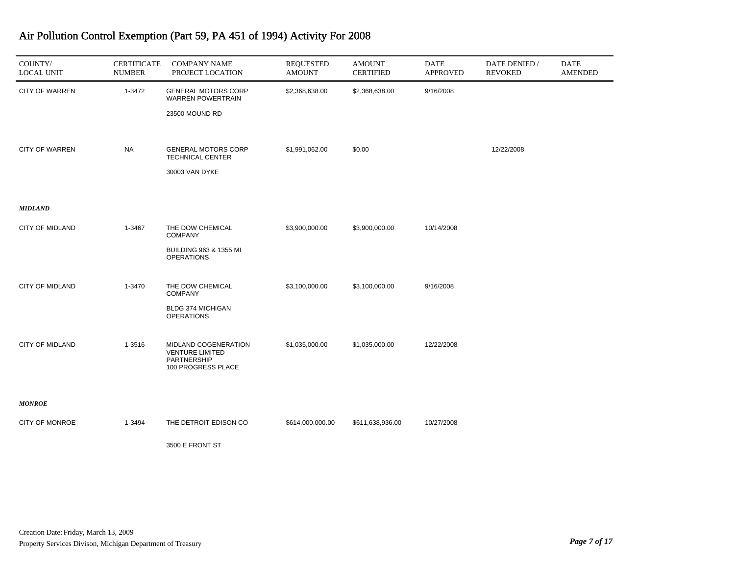| COUNTY/<br><b>LOCAL UNIT</b> | <b>CERTIFICATE</b><br><b>NUMBER</b> | <b>COMPANY NAME</b><br>PROJECT LOCATION                                                      | <b>REQUESTED</b><br><b>AMOUNT</b> | <b>AMOUNT</b><br><b>CERTIFIED</b> | DATE<br><b>APPROVED</b> | DATE DENIED /<br><b>REVOKED</b> | <b>DATE</b><br>AMENDED |
|------------------------------|-------------------------------------|----------------------------------------------------------------------------------------------|-----------------------------------|-----------------------------------|-------------------------|---------------------------------|------------------------|
| <b>CITY OF WARREN</b>        | 1-3472                              | <b>GENERAL MOTORS CORP</b><br><b>WARREN POWERTRAIN</b><br>23500 MOUND RD                     | \$2,368,638.00                    | \$2,368,638.00                    | 9/16/2008               |                                 |                        |
| <b>CITY OF WARREN</b>        | <b>NA</b>                           | <b>GENERAL MOTORS CORP</b><br><b>TECHNICAL CENTER</b><br>30003 VAN DYKE                      | \$1,991,062.00                    | \$0.00                            |                         | 12/22/2008                      |                        |
| <b>MIDLAND</b>               |                                     |                                                                                              |                                   |                                   |                         |                                 |                        |
| <b>CITY OF MIDLAND</b>       | 1-3467                              | THE DOW CHEMICAL<br><b>COMPANY</b><br><b>BUILDING 963 &amp; 1355 MI</b><br><b>OPERATIONS</b> | \$3,900,000.00                    | \$3,900,000.00                    | 10/14/2008              |                                 |                        |
| <b>CITY OF MIDLAND</b>       | 1-3470                              | THE DOW CHEMICAL<br><b>COMPANY</b><br>BLDG 374 MICHIGAN<br><b>OPERATIONS</b>                 | \$3,100,000.00                    | \$3,100,000.00                    | 9/16/2008               |                                 |                        |
| <b>CITY OF MIDLAND</b>       | 1-3516                              | MIDLAND COGENERATION<br><b>VENTURE LIMITED</b><br>PARTNERSHIP<br>100 PROGRESS PLACE          | \$1,035,000.00                    | \$1,035,000.00                    | 12/22/2008              |                                 |                        |
| <b>MONROE</b>                |                                     |                                                                                              |                                   |                                   |                         |                                 |                        |
| CITY OF MONROE               | 1-3494                              | THE DETROIT EDISON CO                                                                        | \$614,000,000.00                  | \$611,638,936.00                  | 10/27/2008              |                                 |                        |
|                              |                                     | 3500 E FRONT ST                                                                              |                                   |                                   |                         |                                 |                        |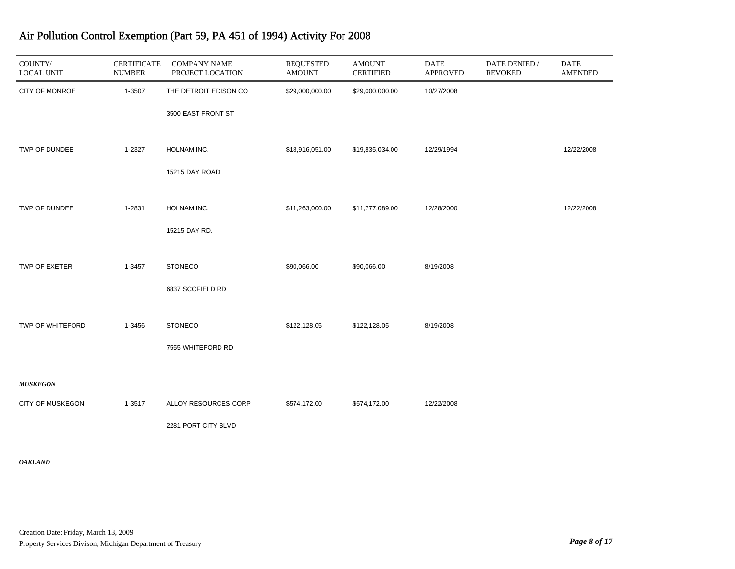| COUNTY/<br><b>LOCAL UNIT</b> | <b>CERTIFICATE</b><br><b>NUMBER</b> | <b>COMPANY NAME</b><br>PROJECT LOCATION | <b>REQUESTED</b><br><b>AMOUNT</b> | <b>AMOUNT</b><br><b>CERTIFIED</b> | <b>DATE</b><br><b>APPROVED</b> | DATE DENIED /<br><b>REVOKED</b> | <b>DATE</b><br><b>AMENDED</b> |
|------------------------------|-------------------------------------|-----------------------------------------|-----------------------------------|-----------------------------------|--------------------------------|---------------------------------|-------------------------------|
| CITY OF MONROE               | 1-3507                              | THE DETROIT EDISON CO                   | \$29,000,000.00                   | \$29,000,000.00                   | 10/27/2008                     |                                 |                               |
|                              |                                     | 3500 EAST FRONT ST                      |                                   |                                   |                                |                                 |                               |
| TWP OF DUNDEE                | 1-2327                              | HOLNAM INC.                             | \$18,916,051.00                   | \$19,835,034.00                   | 12/29/1994                     |                                 | 12/22/2008                    |
|                              |                                     | 15215 DAY ROAD                          |                                   |                                   |                                |                                 |                               |
| TWP OF DUNDEE                | 1-2831                              | HOLNAM INC.                             | \$11,263,000.00                   | \$11,777,089.00                   | 12/28/2000                     |                                 | 12/22/2008                    |
|                              |                                     | 15215 DAY RD.                           |                                   |                                   |                                |                                 |                               |
| TWP OF EXETER                | 1-3457                              | <b>STONECO</b>                          | \$90,066.00                       | \$90,066.00                       | 8/19/2008                      |                                 |                               |
|                              |                                     | 6837 SCOFIELD RD                        |                                   |                                   |                                |                                 |                               |
| TWP OF WHITEFORD             | 1-3456                              | <b>STONECO</b>                          | \$122,128.05                      | \$122,128.05                      | 8/19/2008                      |                                 |                               |
|                              |                                     | 7555 WHITEFORD RD                       |                                   |                                   |                                |                                 |                               |
| <b>MUSKEGON</b>              |                                     |                                         |                                   |                                   |                                |                                 |                               |
| <b>CITY OF MUSKEGON</b>      | 1-3517                              | ALLOY RESOURCES CORP                    | \$574,172.00                      | \$574,172.00                      | 12/22/2008                     |                                 |                               |
|                              |                                     | 2281 PORT CITY BLVD                     |                                   |                                   |                                |                                 |                               |

#### *OAKLAND*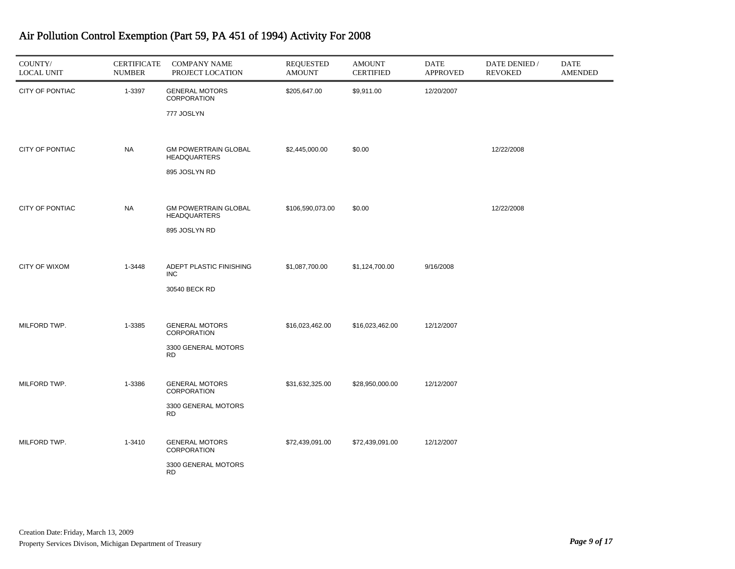| COUNTY/<br><b>LOCAL UNIT</b> | <b>CERTIFICATE</b><br><b>NUMBER</b> | <b>COMPANY NAME</b><br>PROJECT LOCATION            | <b>REQUESTED</b><br><b>AMOUNT</b> | <b>AMOUNT</b><br><b>CERTIFIED</b> | <b>DATE</b><br><b>APPROVED</b> | DATE DENIED /<br><b>REVOKED</b> | <b>DATE</b><br><b>AMENDED</b> |
|------------------------------|-------------------------------------|----------------------------------------------------|-----------------------------------|-----------------------------------|--------------------------------|---------------------------------|-------------------------------|
| CITY OF PONTIAC              | 1-3397                              | <b>GENERAL MOTORS</b><br>CORPORATION               | \$205,647.00                      | \$9,911.00                        | 12/20/2007                     |                                 |                               |
|                              |                                     | 777 JOSLYN                                         |                                   |                                   |                                |                                 |                               |
| CITY OF PONTIAC              | <b>NA</b>                           | <b>GM POWERTRAIN GLOBAL</b><br><b>HEADQUARTERS</b> | \$2,445,000.00                    | \$0.00                            |                                | 12/22/2008                      |                               |
|                              |                                     | 895 JOSLYN RD                                      |                                   |                                   |                                |                                 |                               |
| CITY OF PONTIAC              | <b>NA</b>                           | <b>GM POWERTRAIN GLOBAL</b><br><b>HEADQUARTERS</b> | \$106,590,073.00                  | \$0.00                            |                                | 12/22/2008                      |                               |
|                              |                                     | 895 JOSLYN RD                                      |                                   |                                   |                                |                                 |                               |
| <b>CITY OF WIXOM</b>         | 1-3448                              | ADEPT PLASTIC FINISHING<br><b>INC</b>              | \$1,087,700.00                    | \$1,124,700.00                    | 9/16/2008                      |                                 |                               |
|                              |                                     | 30540 BECK RD                                      |                                   |                                   |                                |                                 |                               |
| MILFORD TWP.                 | 1-3385                              | <b>GENERAL MOTORS</b><br>CORPORATION               | \$16,023,462.00                   | \$16,023,462.00                   | 12/12/2007                     |                                 |                               |
|                              |                                     | 3300 GENERAL MOTORS<br><b>RD</b>                   |                                   |                                   |                                |                                 |                               |
| MILFORD TWP.                 | 1-3386                              | <b>GENERAL MOTORS</b><br>CORPORATION               | \$31,632,325.00                   | \$28,950,000.00                   | 12/12/2007                     |                                 |                               |
|                              |                                     | 3300 GENERAL MOTORS<br><b>RD</b>                   |                                   |                                   |                                |                                 |                               |
| MILFORD TWP.                 | 1-3410                              | <b>GENERAL MOTORS</b><br>CORPORATION               | \$72,439,091.00                   | \$72,439,091.00                   | 12/12/2007                     |                                 |                               |
|                              |                                     | 3300 GENERAL MOTORS<br><b>RD</b>                   |                                   |                                   |                                |                                 |                               |

۰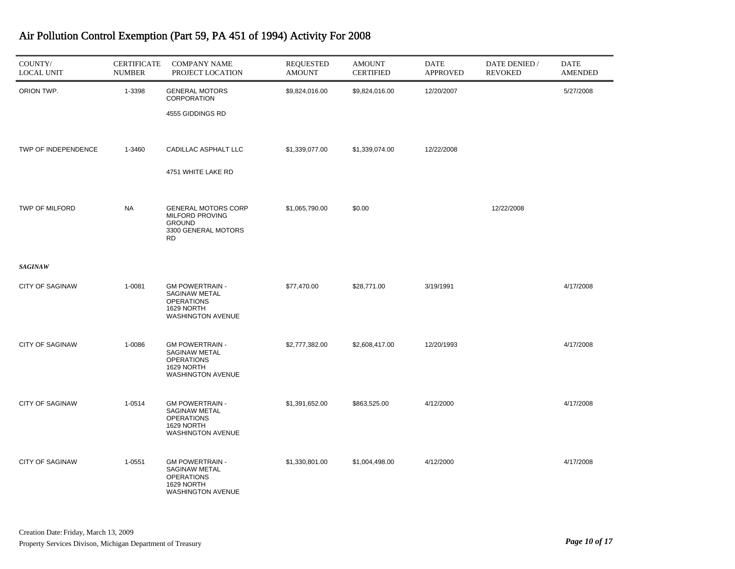| COUNTY/<br><b>LOCAL UNIT</b> | <b>CERTIFICATE</b><br><b>NUMBER</b> | <b>COMPANY NAME</b><br>PROJECT LOCATION                                                                   | <b>REQUESTED</b><br><b>AMOUNT</b> | <b>AMOUNT</b><br><b>CERTIFIED</b> | <b>DATE</b><br><b>APPROVED</b> | DATE DENIED /<br><b>REVOKED</b> | <b>DATE</b><br><b>AMENDED</b> |
|------------------------------|-------------------------------------|-----------------------------------------------------------------------------------------------------------|-----------------------------------|-----------------------------------|--------------------------------|---------------------------------|-------------------------------|
| ORION TWP.                   | 1-3398                              | <b>GENERAL MOTORS</b><br>CORPORATION<br>4555 GIDDINGS RD                                                  | \$9,824,016.00                    | \$9,824,016.00                    | 12/20/2007                     |                                 | 5/27/2008                     |
| TWP OF INDEPENDENCE          | 1-3460                              | CADILLAC ASPHALT LLC<br>4751 WHITE LAKE RD                                                                | \$1,339,077.00                    | \$1,339,074.00                    | 12/22/2008                     |                                 |                               |
| TWP OF MILFORD               | <b>NA</b>                           | <b>GENERAL MOTORS CORP</b><br><b>MILFORD PROVING</b><br><b>GROUND</b><br>3300 GENERAL MOTORS<br><b>RD</b> | \$1,065,790.00                    | \$0.00                            |                                | 12/22/2008                      |                               |
| <b>SAGINAW</b>               |                                     |                                                                                                           |                                   |                                   |                                |                                 |                               |
| <b>CITY OF SAGINAW</b>       | 1-0081                              | <b>GM POWERTRAIN -</b><br>SAGINAW METAL<br><b>OPERATIONS</b><br>1629 NORTH<br>WASHINGTON AVENUE           | \$77,470.00                       | \$28,771.00                       | 3/19/1991                      |                                 | 4/17/2008                     |
| <b>CITY OF SAGINAW</b>       | 1-0086                              | <b>GM POWERTRAIN -</b><br>SAGINAW METAL<br><b>OPERATIONS</b><br>1629 NORTH<br><b>WASHINGTON AVENUE</b>    | \$2,777,382.00                    | \$2,608,417.00                    | 12/20/1993                     |                                 | 4/17/2008                     |
| <b>CITY OF SAGINAW</b>       | 1-0514                              | <b>GM POWERTRAIN -</b><br>SAGINAW METAL<br><b>OPERATIONS</b><br>1629 NORTH<br><b>WASHINGTON AVENUE</b>    | \$1,391,652.00                    | \$863,525.00                      | 4/12/2000                      |                                 | 4/17/2008                     |
| <b>CITY OF SAGINAW</b>       | 1-0551                              | <b>GM POWERTRAIN -</b><br>SAGINAW METAL<br><b>OPERATIONS</b><br>1629 NORTH<br><b>WASHINGTON AVENUE</b>    | \$1,330,801.00                    | \$1,004,498.00                    | 4/12/2000                      |                                 | 4/17/2008                     |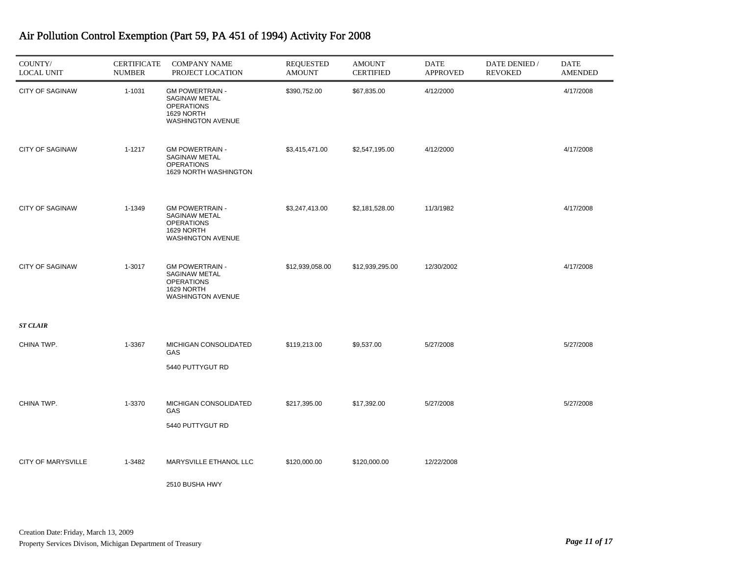| COUNTY/<br><b>LOCAL UNIT</b> | <b>CERTIFICATE</b><br><b>NUMBER</b> | <b>COMPANY NAME</b><br>PROJECT LOCATION                                                                | <b>REQUESTED</b><br><b>AMOUNT</b> | <b>AMOUNT</b><br><b>CERTIFIED</b> | <b>DATE</b><br><b>APPROVED</b> | DATE DENIED /<br><b>REVOKED</b> | <b>DATE</b><br><b>AMENDED</b> |
|------------------------------|-------------------------------------|--------------------------------------------------------------------------------------------------------|-----------------------------------|-----------------------------------|--------------------------------|---------------------------------|-------------------------------|
| <b>CITY OF SAGINAW</b>       | 1-1031                              | <b>GM POWERTRAIN -</b><br>SAGINAW METAL<br><b>OPERATIONS</b><br>1629 NORTH<br><b>WASHINGTON AVENUE</b> | \$390,752.00                      | \$67,835.00                       | 4/12/2000                      |                                 | 4/17/2008                     |
| <b>CITY OF SAGINAW</b>       | 1-1217                              | <b>GM POWERTRAIN -</b><br>SAGINAW METAL<br><b>OPERATIONS</b><br>1629 NORTH WASHINGTON                  | \$3,415,471.00                    | \$2,547,195.00                    | 4/12/2000                      |                                 | 4/17/2008                     |
| <b>CITY OF SAGINAW</b>       | 1-1349                              | <b>GM POWERTRAIN -</b><br>SAGINAW METAL<br><b>OPERATIONS</b><br>1629 NORTH<br>WASHINGTON AVENUE        | \$3,247,413.00                    | \$2,181,528.00                    | 11/3/1982                      |                                 | 4/17/2008                     |
| <b>CITY OF SAGINAW</b>       | 1-3017                              | <b>GM POWERTRAIN -</b><br>SAGINAW METAL<br><b>OPERATIONS</b><br>1629 NORTH<br>WASHINGTON AVENUE        | \$12,939,058.00                   | \$12,939,295.00                   | 12/30/2002                     |                                 | 4/17/2008                     |
| <b>ST CLAIR</b>              |                                     |                                                                                                        |                                   |                                   |                                |                                 |                               |
| CHINA TWP.                   | 1-3367                              | MICHIGAN CONSOLIDATED<br>GAS<br>5440 PUTTYGUT RD                                                       | \$119,213.00                      | \$9,537.00                        | 5/27/2008                      |                                 | 5/27/2008                     |
| CHINA TWP.                   | 1-3370                              | MICHIGAN CONSOLIDATED<br>GAS<br>5440 PUTTYGUT RD                                                       | \$217,395.00                      | \$17,392.00                       | 5/27/2008                      |                                 | 5/27/2008                     |
| <b>CITY OF MARYSVILLE</b>    | 1-3482                              | MARYSVILLE ETHANOL LLC<br>2510 BUSHA HWY                                                               | \$120,000.00                      | \$120,000.00                      | 12/22/2008                     |                                 |                               |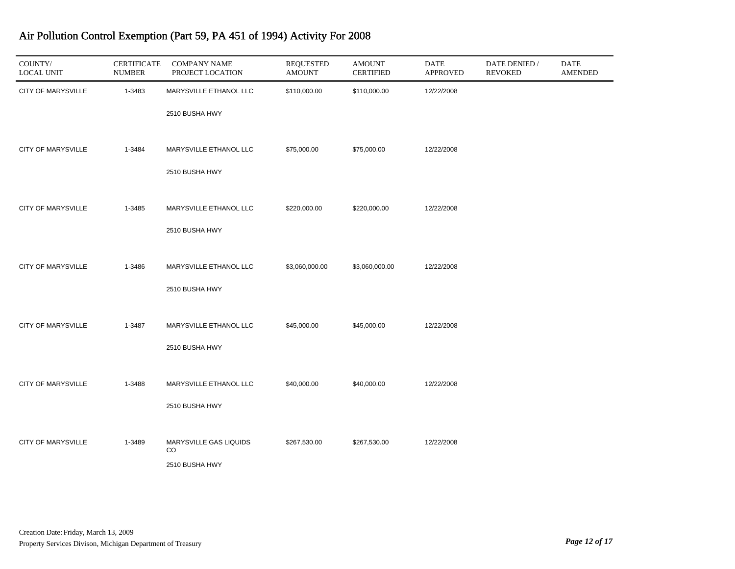| COUNTY/<br><b>LOCAL UNIT</b> | <b>CERTIFICATE</b><br><b>NUMBER</b> | <b>COMPANY NAME</b><br>PROJECT LOCATION | <b>REQUESTED</b><br><b>AMOUNT</b> | <b>AMOUNT</b><br><b>CERTIFIED</b> | <b>DATE</b><br><b>APPROVED</b> | DATE DENIED /<br><b>REVOKED</b> | DATE<br><b>AMENDED</b> |
|------------------------------|-------------------------------------|-----------------------------------------|-----------------------------------|-----------------------------------|--------------------------------|---------------------------------|------------------------|
| <b>CITY OF MARYSVILLE</b>    | 1-3483                              | MARYSVILLE ETHANOL LLC                  | \$110,000.00                      | \$110,000.00                      | 12/22/2008                     |                                 |                        |
|                              |                                     | 2510 BUSHA HWY                          |                                   |                                   |                                |                                 |                        |
| <b>CITY OF MARYSVILLE</b>    | 1-3484                              | MARYSVILLE ETHANOL LLC                  | \$75,000.00                       | \$75,000.00                       | 12/22/2008                     |                                 |                        |
|                              |                                     | 2510 BUSHA HWY                          |                                   |                                   |                                |                                 |                        |
| <b>CITY OF MARYSVILLE</b>    | 1-3485                              | MARYSVILLE ETHANOL LLC                  | \$220,000.00                      | \$220,000.00                      | 12/22/2008                     |                                 |                        |
|                              |                                     | 2510 BUSHA HWY                          |                                   |                                   |                                |                                 |                        |
| <b>CITY OF MARYSVILLE</b>    | 1-3486                              | MARYSVILLE ETHANOL LLC                  | \$3,060,000.00                    | \$3,060,000.00                    | 12/22/2008                     |                                 |                        |
|                              |                                     | 2510 BUSHA HWY                          |                                   |                                   |                                |                                 |                        |
| <b>CITY OF MARYSVILLE</b>    | 1-3487                              | MARYSVILLE ETHANOL LLC                  | \$45,000.00                       | \$45,000.00                       | 12/22/2008                     |                                 |                        |
|                              |                                     | 2510 BUSHA HWY                          |                                   |                                   |                                |                                 |                        |
| CITY OF MARYSVILLE           | 1-3488                              | MARYSVILLE ETHANOL LLC                  | \$40,000.00                       | \$40,000.00                       | 12/22/2008                     |                                 |                        |
|                              |                                     | 2510 BUSHA HWY                          |                                   |                                   |                                |                                 |                        |
| <b>CITY OF MARYSVILLE</b>    | 1-3489                              | MARYSVILLE GAS LIQUIDS                  | \$267,530.00                      | \$267,530.00                      | 12/22/2008                     |                                 |                        |
|                              |                                     | CO <sub>.</sub><br>2510 BUSHA HWY       |                                   |                                   |                                |                                 |                        |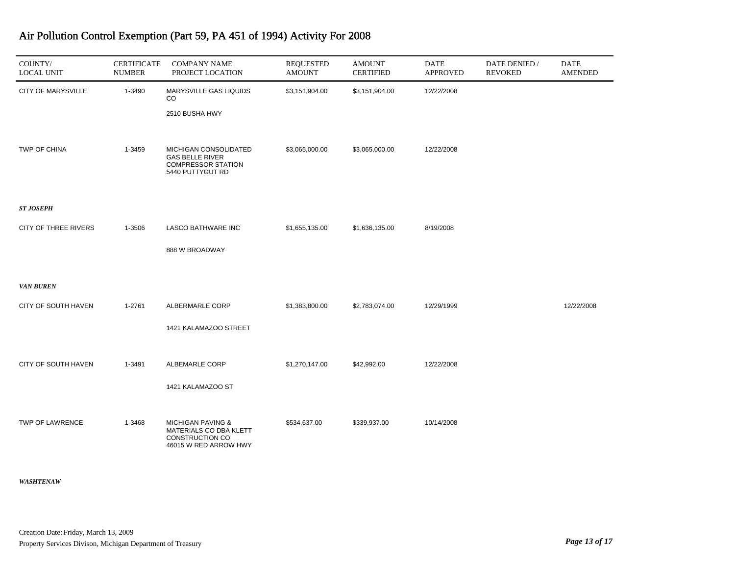| COUNTY/<br><b>LOCAL UNIT</b> | <b>CERTIFICATE</b><br><b>NUMBER</b> | <b>COMPANY NAME</b><br>PROJECT LOCATION                                                            | <b>REQUESTED</b><br><b>AMOUNT</b> | <b>AMOUNT</b><br><b>CERTIFIED</b> | <b>DATE</b><br><b>APPROVED</b> | DATE DENIED /<br><b>REVOKED</b> | <b>DATE</b><br><b>AMENDED</b> |
|------------------------------|-------------------------------------|----------------------------------------------------------------------------------------------------|-----------------------------------|-----------------------------------|--------------------------------|---------------------------------|-------------------------------|
| CITY OF MARYSVILLE           | 1-3490                              | MARYSVILLE GAS LIQUIDS<br>CO.<br>2510 BUSHA HWY                                                    | \$3,151,904.00                    | \$3,151,904.00                    | 12/22/2008                     |                                 |                               |
| <b>TWP OF CHINA</b>          | 1-3459                              | MICHIGAN CONSOLIDATED<br><b>GAS BELLE RIVER</b><br><b>COMPRESSOR STATION</b><br>5440 PUTTYGUT RD   | \$3,065,000.00                    | \$3,065,000.00                    | 12/22/2008                     |                                 |                               |
| <b>ST JOSEPH</b>             |                                     |                                                                                                    |                                   |                                   |                                |                                 |                               |
| CITY OF THREE RIVERS         | 1-3506                              | <b>LASCO BATHWARE INC</b>                                                                          | \$1,655,135.00                    | \$1,636,135.00                    | 8/19/2008                      |                                 |                               |
|                              |                                     | 888 W BROADWAY                                                                                     |                                   |                                   |                                |                                 |                               |
| <b>VAN BUREN</b>             |                                     |                                                                                                    |                                   |                                   |                                |                                 |                               |
| CITY OF SOUTH HAVEN          | 1-2761                              | ALBERMARLE CORP                                                                                    | \$1,383,800.00                    | \$2,783,074.00                    | 12/29/1999                     |                                 | 12/22/2008                    |
|                              |                                     | 1421 KALAMAZOO STREET                                                                              |                                   |                                   |                                |                                 |                               |
| CITY OF SOUTH HAVEN          | 1-3491                              | ALBEMARLE CORP                                                                                     | \$1,270,147.00                    | \$42,992.00                       | 12/22/2008                     |                                 |                               |
|                              |                                     | 1421 KALAMAZOO ST                                                                                  |                                   |                                   |                                |                                 |                               |
| TWP OF LAWRENCE              | 1-3468                              | <b>MICHIGAN PAVING &amp;</b><br>MATERIALS CO DBA KLETT<br>CONSTRUCTION CO<br>46015 W RED ARROW HWY | \$534,637.00                      | \$339,937.00                      | 10/14/2008                     |                                 |                               |

#### *WASHTENAW*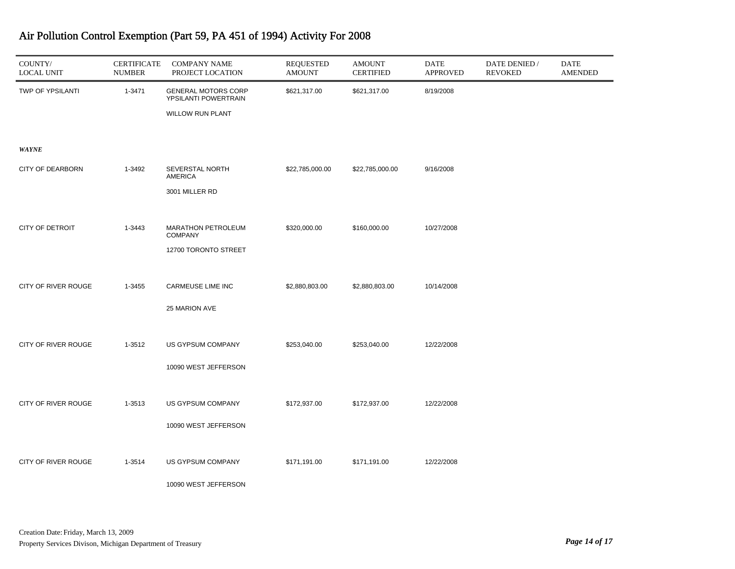| COUNTY/<br><b>LOCAL UNIT</b> | <b>CERTIFICATE</b><br><b>NUMBER</b> | <b>COMPANY NAME</b><br>PROJECT LOCATION            | <b>REQUESTED</b><br><b>AMOUNT</b> | <b>AMOUNT</b><br><b>CERTIFIED</b> | <b>DATE</b><br><b>APPROVED</b> | DATE DENIED /<br><b>REVOKED</b> | <b>DATE</b><br><b>AMENDED</b> |
|------------------------------|-------------------------------------|----------------------------------------------------|-----------------------------------|-----------------------------------|--------------------------------|---------------------------------|-------------------------------|
| TWP OF YPSILANTI             | 1-3471                              | <b>GENERAL MOTORS CORP</b><br>YPSILANTI POWERTRAIN | \$621,317.00                      | \$621,317.00                      | 8/19/2008                      |                                 |                               |
|                              |                                     | <b>WILLOW RUN PLANT</b>                            |                                   |                                   |                                |                                 |                               |
| <b>WAYNE</b>                 |                                     |                                                    |                                   |                                   |                                |                                 |                               |
| <b>CITY OF DEARBORN</b>      | 1-3492                              | SEVERSTAL NORTH<br><b>AMERICA</b>                  | \$22,785,000.00                   | \$22,785,000.00                   | 9/16/2008                      |                                 |                               |
|                              |                                     | 3001 MILLER RD                                     |                                   |                                   |                                |                                 |                               |
| <b>CITY OF DETROIT</b>       | 1-3443                              | MARATHON PETROLEUM<br><b>COMPANY</b>               | \$320,000.00                      | \$160,000.00                      | 10/27/2008                     |                                 |                               |
|                              |                                     | 12700 TORONTO STREET                               |                                   |                                   |                                |                                 |                               |
| CITY OF RIVER ROUGE          | 1-3455                              | CARMEUSE LIME INC                                  | \$2,880,803.00                    | \$2,880,803.00                    | 10/14/2008                     |                                 |                               |
|                              |                                     | 25 MARION AVE                                      |                                   |                                   |                                |                                 |                               |
|                              |                                     |                                                    |                                   |                                   |                                |                                 |                               |
| CITY OF RIVER ROUGE          | 1-3512                              | US GYPSUM COMPANY<br>10090 WEST JEFFERSON          | \$253,040.00                      | \$253,040.00                      | 12/22/2008                     |                                 |                               |
|                              |                                     |                                                    |                                   |                                   |                                |                                 |                               |
| CITY OF RIVER ROUGE          | 1-3513                              | US GYPSUM COMPANY                                  | \$172,937.00                      | \$172,937.00                      | 12/22/2008                     |                                 |                               |
|                              |                                     | 10090 WEST JEFFERSON                               |                                   |                                   |                                |                                 |                               |
| CITY OF RIVER ROUGE          | 1-3514                              | US GYPSUM COMPANY                                  | \$171,191.00                      | \$171,191.00                      | 12/22/2008                     |                                 |                               |
|                              |                                     | 10090 WEST JEFFERSON                               |                                   |                                   |                                |                                 |                               |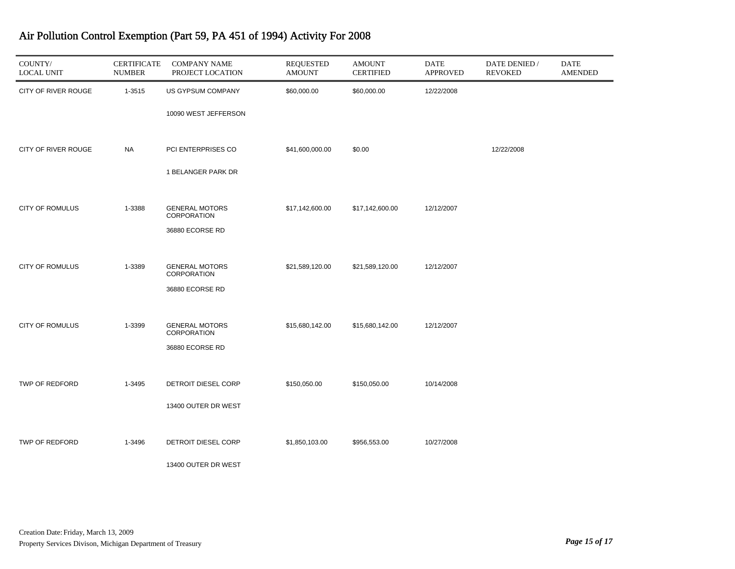| COUNTY/<br><b>LOCAL UNIT</b> | <b>CERTIFICATE</b><br><b>NUMBER</b> | <b>COMPANY NAME</b><br>PROJECT LOCATION | <b>REQUESTED</b><br><b>AMOUNT</b> | <b>AMOUNT</b><br><b>CERTIFIED</b> | <b>DATE</b><br><b>APPROVED</b> | DATE DENIED /<br><b>REVOKED</b> | <b>DATE</b><br>AMENDED |
|------------------------------|-------------------------------------|-----------------------------------------|-----------------------------------|-----------------------------------|--------------------------------|---------------------------------|------------------------|
| CITY OF RIVER ROUGE          | 1-3515                              | US GYPSUM COMPANY                       | \$60,000.00                       | \$60,000.00                       | 12/22/2008                     |                                 |                        |
|                              |                                     | 10090 WEST JEFFERSON                    |                                   |                                   |                                |                                 |                        |
| CITY OF RIVER ROUGE          | <b>NA</b>                           | PCI ENTERPRISES CO                      | \$41,600,000.00                   | \$0.00                            |                                | 12/22/2008                      |                        |
|                              |                                     | 1 BELANGER PARK DR                      |                                   |                                   |                                |                                 |                        |
| <b>CITY OF ROMULUS</b>       | 1-3388                              | <b>GENERAL MOTORS</b><br>CORPORATION    | \$17,142,600.00                   | \$17,142,600.00                   | 12/12/2007                     |                                 |                        |
|                              |                                     | 36880 ECORSE RD                         |                                   |                                   |                                |                                 |                        |
| <b>CITY OF ROMULUS</b>       | 1-3389                              | <b>GENERAL MOTORS</b>                   | \$21,589,120.00                   | \$21,589,120.00                   | 12/12/2007                     |                                 |                        |
|                              |                                     | CORPORATION                             |                                   |                                   |                                |                                 |                        |
|                              |                                     | 36880 ECORSE RD                         |                                   |                                   |                                |                                 |                        |
| <b>CITY OF ROMULUS</b>       | 1-3399                              | <b>GENERAL MOTORS</b><br>CORPORATION    | \$15,680,142.00                   | \$15,680,142.00                   | 12/12/2007                     |                                 |                        |
|                              |                                     | 36880 ECORSE RD                         |                                   |                                   |                                |                                 |                        |
| TWP OF REDFORD               | 1-3495                              |                                         |                                   |                                   |                                |                                 |                        |
|                              |                                     | DETROIT DIESEL CORP                     | \$150,050.00                      | \$150,050.00                      | 10/14/2008                     |                                 |                        |
|                              |                                     | 13400 OUTER DR WEST                     |                                   |                                   |                                |                                 |                        |
| <b>TWP OF REDFORD</b>        | 1-3496                              | DETROIT DIESEL CORP                     | \$1,850,103.00                    | \$956,553.00                      | 10/27/2008                     |                                 |                        |
|                              |                                     | 13400 OUTER DR WEST                     |                                   |                                   |                                |                                 |                        |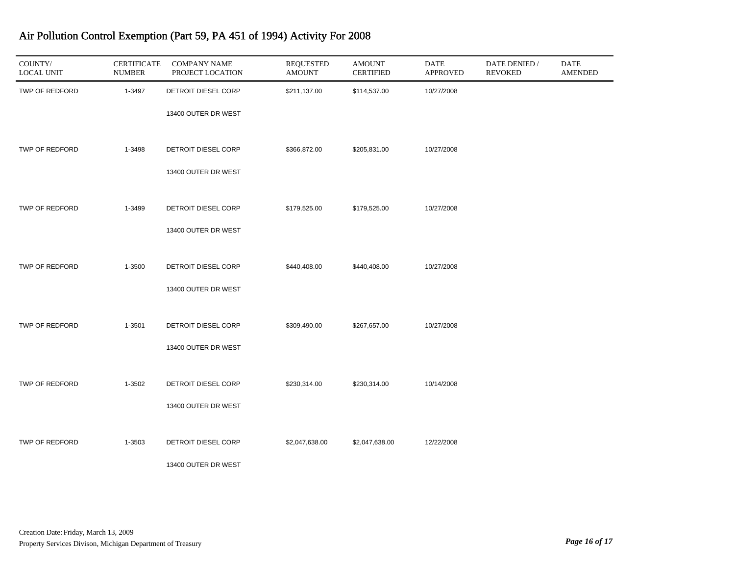| COUNTY/<br><b>LOCAL UNIT</b> | <b>CERTIFICATE</b><br><b>NUMBER</b> | <b>COMPANY NAME</b><br>PROJECT LOCATION | <b>REQUESTED</b><br><b>AMOUNT</b> | <b>AMOUNT</b><br><b>CERTIFIED</b> | DATE<br><b>APPROVED</b> | DATE DENIED /<br><b>REVOKED</b> | DATE<br><b>AMENDED</b> |
|------------------------------|-------------------------------------|-----------------------------------------|-----------------------------------|-----------------------------------|-------------------------|---------------------------------|------------------------|
| TWP OF REDFORD               | 1-3497                              | DETROIT DIESEL CORP                     | \$211,137.00                      | \$114,537.00                      | 10/27/2008              |                                 |                        |
|                              |                                     | 13400 OUTER DR WEST                     |                                   |                                   |                         |                                 |                        |
| TWP OF REDFORD               | 1-3498                              | DETROIT DIESEL CORP                     | \$366,872.00                      | \$205,831.00                      | 10/27/2008              |                                 |                        |
|                              |                                     | 13400 OUTER DR WEST                     |                                   |                                   |                         |                                 |                        |
| TWP OF REDFORD               | 1-3499                              | DETROIT DIESEL CORP                     | \$179,525.00                      | \$179,525.00                      | 10/27/2008              |                                 |                        |
|                              |                                     | 13400 OUTER DR WEST                     |                                   |                                   |                         |                                 |                        |
| TWP OF REDFORD               | 1-3500                              | DETROIT DIESEL CORP                     | \$440,408.00                      | \$440,408.00                      | 10/27/2008              |                                 |                        |
|                              |                                     | 13400 OUTER DR WEST                     |                                   |                                   |                         |                                 |                        |
| TWP OF REDFORD               | 1-3501                              | DETROIT DIESEL CORP                     | \$309,490.00                      | \$267,657.00                      | 10/27/2008              |                                 |                        |
|                              |                                     | 13400 OUTER DR WEST                     |                                   |                                   |                         |                                 |                        |
| TWP OF REDFORD               | 1-3502                              | DETROIT DIESEL CORP                     | \$230,314.00                      | \$230,314.00                      | 10/14/2008              |                                 |                        |
|                              |                                     | 13400 OUTER DR WEST                     |                                   |                                   |                         |                                 |                        |
| TWP OF REDFORD               | 1-3503                              | DETROIT DIESEL CORP                     | \$2,047,638.00                    | \$2,047,638.00                    | 12/22/2008              |                                 |                        |
|                              |                                     | 13400 OUTER DR WEST                     |                                   |                                   |                         |                                 |                        |